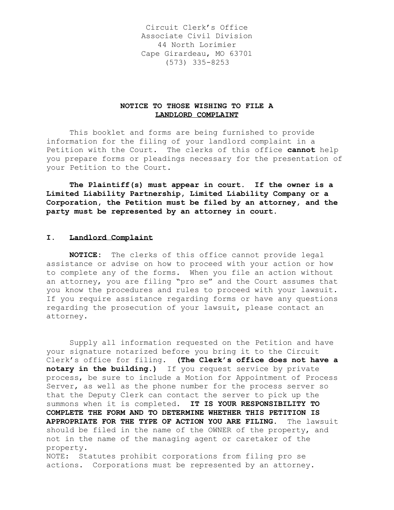Circuit Clerk's Office Associate Civil Division 44 North Lorimier Cape Girardeau, MO 63701 (573) 335-8253

# **NOTICE TO THOSE WISHING TO FILE A LANDLORD COMPLAINT**

This booklet and forms are being furnished to provide information for the filing of your landlord complaint in a Petition with the Court. The clerks of this office **cannot** help you prepare forms or pleadings necessary for the presentation of your Petition to the Court.

**The Plaintiff(s) must appear in court. If the owner is a Limited Liability Partnership, Limited Liability Company or a Corporation, the Petition must be filed by an attorney, and the party must be represented by an attorney in court.**

# **I. Landlord Complaint**

**NOTICE:** The clerks of this office cannot provide legal assistance or advise on how to proceed with your action or how to complete any of the forms. When you file an action without an attorney, you are filing "pro se" and the Court assumes that you know the procedures and rules to proceed with your lawsuit. If you require assistance regarding forms or have any questions regarding the prosecution of your lawsuit, please contact an attorney.

Supply all information requested on the Petition and have your signature notarized before you bring it to the Circuit Clerk's office for filing. **(The Clerk's office does not have a notary in the building.)** If you request service by private process, be sure to include a Motion for Appointment of Process Server, as well as the phone number for the process server so that the Deputy Clerk can contact the server to pick up the summons when it is completed. **IT IS YOUR RESPONSIBILITY TO COMPLETE THE FORM AND TO DETERMINE WHETHER THIS PETITION IS APPROPRIATE FOR THE TYPE OF ACTION YOU ARE FILING.** The lawsuit should be filed in the name of the OWNER of the property, and not in the name of the managing agent or caretaker of the property. NOTE: Statutes prohibit corporations from filing pro se actions. Corporations must be represented by an attorney.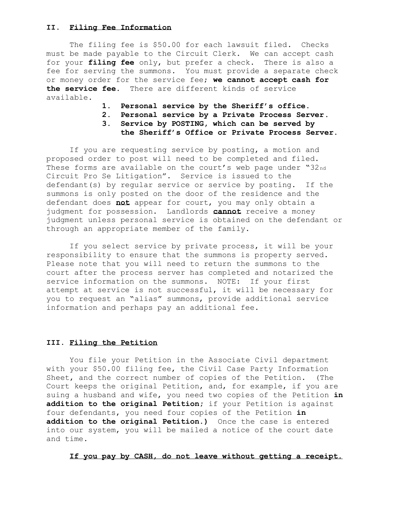## **II. Filing Fee Information**

The filing fee is \$50.00 for each lawsuit filed. Checks must be made payable to the Circuit Clerk. We can accept cash for your **filing fee** only, but prefer a check. There is also a fee for serving the summons. You must provide a separate check or money order for the service fee; **we cannot accept cash for the service fee.** There are different kinds of service available.

- **1. Personal service by the Sheriff's office.**
- **2. Personal service by a Private Process Server.**
- **3. Service by POSTING, which can be served by**
- **the Sheriff's Office or Private Process Server.**

If you are requesting service by posting, a motion and proposed order to post will need to be completed and filed. These forms are available on the court's web page under "32nd" Circuit Pro Se Litigation". Service is issued to the defendant(s) by regular service or service by posting. If the summons is only posted on the door of the residence and the defendant does **not** appear for court, you may only obtain a judgment for possession. Landlords **cannot** receive a money judgment unless personal service is obtained on the defendant or through an appropriate member of the family.

If you select service by private process, it will be your responsibility to ensure that the summons is property served. Please note that you will need to return the summons to the court after the process server has completed and notarized the service information on the summons. NOTE: If your first attempt at service is not successful, it will be necessary for you to request an "alias" summons, provide additional service information and perhaps pay an additional fee.

## **III. Filing the Petition**

You file your Petition in the Associate Civil department with your \$50.00 filing fee, the Civil Case Party Information Sheet, and the correct number of copies of the Petition. (The Court keeps the original Petition, and, for example, if you are suing a husband and wife, you need two copies of the Petition **in addition to the original Petition;** if your Petition is against four defendants, you need four copies of the Petition **in addition to the original Petition.)** Once the case is entered into our system, you will be mailed a notice of the court date and time.

**If you pay by CASH, do not leave without getting a receipt.**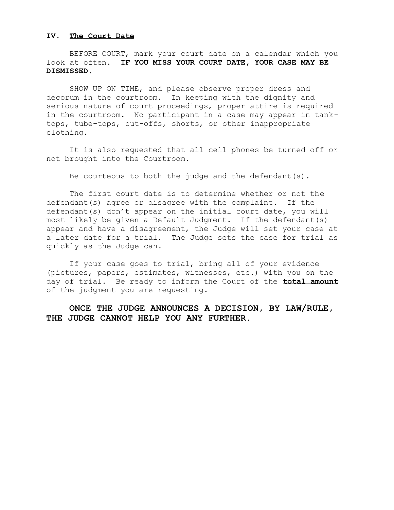## **IV. The Court Date**

BEFORE COURT, mark your court date on a calendar which you look at often. **IF YOU MISS YOUR COURT DATE, YOUR CASE MAY BE DISMISSED.** 

SHOW UP ON TIME, and please observe proper dress and decorum in the courtroom. In keeping with the dignity and serious nature of court proceedings, proper attire is required in the courtroom. No participant in a case may appear in tanktops, tube-tops, cut-offs, shorts, or other inappropriate clothing.

It is also requested that all cell phones be turned off or not brought into the Courtroom.

Be courteous to both the judge and the defendant(s).

The first court date is to determine whether or not the defendant(s) agree or disagree with the complaint. If the defendant(s) don't appear on the initial court date, you will most likely be given a Default Judgment. If the defendant(s) appear and have a disagreement, the Judge will set your case at a later date for a trial. The Judge sets the case for trial as quickly as the Judge can.

If your case goes to trial, bring all of your evidence (pictures, papers, estimates, witnesses, etc.) with you on the day of trial. Be ready to inform the Court of the **total amount** of the judgment you are requesting.

# **ONCE THE JUDGE ANNOUNCES A DECISION, BY LAW/RULE, THE JUDGE CANNOT HELP YOU ANY FURTHER.**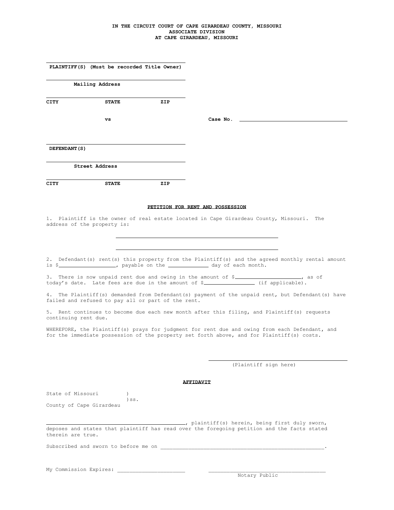#### **IN THE CIRCUIT COURT OF CAPE GIRARDEAU COUNTY, MISSOURI ASSOCIATE DIVISION AT CAPE GIRARDEAU, MISSOURI**

|                          | PLAINTIFF(S) (Must be recorded Title Owner)        |     |                                                                                                                                                                                                                                                                                                                                                                             |
|--------------------------|----------------------------------------------------|-----|-----------------------------------------------------------------------------------------------------------------------------------------------------------------------------------------------------------------------------------------------------------------------------------------------------------------------------------------------------------------------------|
|                          | Mailing Address                                    |     |                                                                                                                                                                                                                                                                                                                                                                             |
| CITY                     | <b>STATE</b>                                       | ZIP |                                                                                                                                                                                                                                                                                                                                                                             |
|                          |                                                    |     |                                                                                                                                                                                                                                                                                                                                                                             |
|                          | vs                                                 |     | Case No.                                                                                                                                                                                                                                                                                                                                                                    |
| DEFENDANT (S)            |                                                    |     |                                                                                                                                                                                                                                                                                                                                                                             |
|                          | Street Address                                     |     |                                                                                                                                                                                                                                                                                                                                                                             |
| CITY                     | <b>STATE</b>                                       | ZIP |                                                                                                                                                                                                                                                                                                                                                                             |
|                          |                                                    |     | PETITION FOR RENT AND POSSESSION                                                                                                                                                                                                                                                                                                                                            |
|                          | address of the property is:                        |     | 1. Plaintiff is the owner of real estate located in Cape Girardeau County, Missouri. The                                                                                                                                                                                                                                                                                    |
|                          | failed and refused to pay all or part of the rent. |     | 2. Defendant(s) rent(s) this property from the Plaintiff(s) and the agreed monthly rental amount<br>is \$ _________________, payable on the ______________ day of each month.<br>3. There is now unpaid rent due and owing in the amount of \$__________________, as of<br>4. The Plaintiff(s) demanded from Defendant(s) payment of the unpaid rent, but Defendant(s) have |
| continuing rent due.     |                                                    |     | 5. Rent continues to become due each new month after this filing, and Plaintiff(s) requests                                                                                                                                                                                                                                                                                 |
|                          |                                                    |     | WHEREFORE, the Plaintiff(s) prays for judgment for rent due and owing from each Defendant, and<br>for the immediate possession of the property set forth above, and for Plaintiff(s) costs.                                                                                                                                                                                 |
|                          |                                                    |     | (Plaintiff sign here)                                                                                                                                                                                                                                                                                                                                                       |
|                          |                                                    |     | AFFIDAVIT                                                                                                                                                                                                                                                                                                                                                                   |
| State of Missouri        | $\left( \right)$                                   |     |                                                                                                                                                                                                                                                                                                                                                                             |
| County of Cape Girardeau | $)$ SS.                                            |     |                                                                                                                                                                                                                                                                                                                                                                             |
|                          |                                                    |     | (a) plaintiff(s) herein, being first duly sworn,<br>deposes and states that plaintiff has read over the foregoing petition and the facts stated                                                                                                                                                                                                                             |
| therein are true.        |                                                    |     |                                                                                                                                                                                                                                                                                                                                                                             |
|                          |                                                    |     |                                                                                                                                                                                                                                                                                                                                                                             |
| My Commission Expires:   |                                                    |     |                                                                                                                                                                                                                                                                                                                                                                             |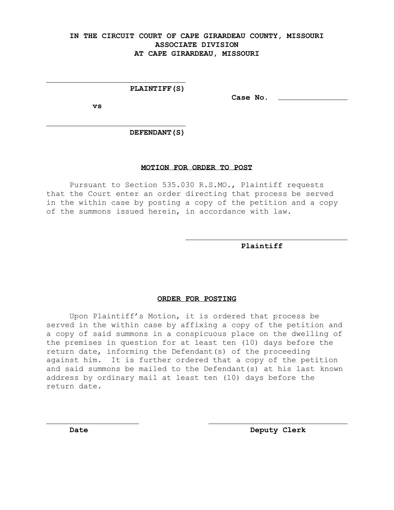# **IN THE CIRCUIT COURT OF CAPE GIRARDEAU COUNTY, MISSOURI ASSOCIATE DIVISION AT CAPE GIRARDEAU, MISSOURI**

## **PLAINTIFF(S)**

**vs**

**Case No.** 

 **DEFENDANT(S)**

### **MOTION FOR ORDER TO POST**

Pursuant to Section 535.030 R.S.MO., Plaintiff requests that the Court enter an order directing that process be served in the within case by posting a copy of the petition and a copy of the summons issued herein, in accordance with law.

 **Plaintiff**

#### **ORDER FOR POSTING**

Upon Plaintiff's Motion, it is ordered that process be served in the within case by affixing a copy of the petition and a copy of said summons in a conspicuous place on the dwelling of the premises in question for at least ten (10) days before the return date, informing the Defendant(s) of the proceeding against him. It is further ordered that a copy of the petition and said summons be mailed to the Defendant(s) at his last known address by ordinary mail at least ten (10) days before the return date.

**Date** Deputy Clerk